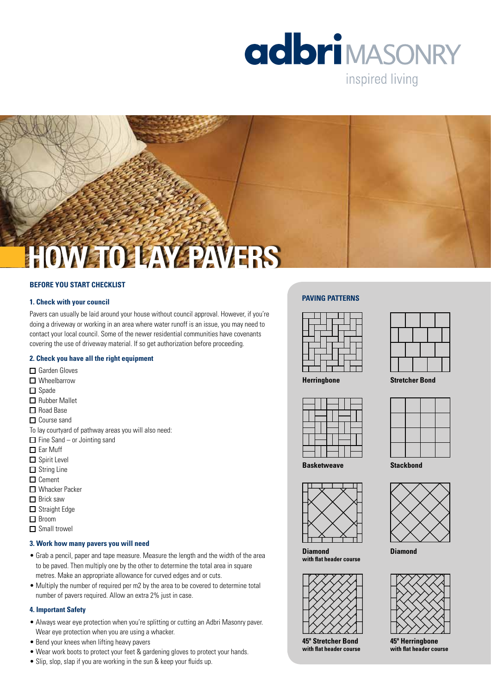

inspired living



## **BEFORE YOU START CHECKLIST**

## **1. Check with your council**

Pavers can usually be laid around your house without council approval. However, if you're doing a driveway or working in an area where water runoff is an issue, you may need to contact your local council. Some of the newer residential communities have covenants covering the use of driveway material. If so get authorization before proceeding.

## **2. Check you have all the right equipment**

- □ Garden Gloves
- Wheelbarrow
- $\Box$  Spade
- Rubber Mallet
- $\Box$  Road Base
- □ Course sand
- To lay courtyard of pathway areas you will also need:
- $\Box$  Fine Sand or Jointing sand
- $\Box$  Ear Muff
- $\square$  Spirit Level
- $\Box$  String Line
- $\Box$  Cement
- Whacker Packer
- □ Brick saw
- □ Straight Edge
- Broom
- $\Box$  Small trowel

## **3. Work how many pavers you will need**

- Grab a pencil, paper and tape measure. Measure the length and the width of the area to be paved. Then multiply one by the other to determine the total area in square metres. Make an appropriate allowance for curved edges and or cuts.
- Multiply the number of required per m2 by the area to be covered to determine total number of pavers required. Allow an extra 2% just in case.

## **4. Important Safety**

- Always wear eye protection when you're splitting or cutting an Adbri Masonry paver. Wear eye protection when you are using a whacker.
- Bend your knees when lifting heavy pavers
- Wear work boots to protect your feet & gardening gloves to protect your hands.
- Slip, slop, slap if you are working in the sun & keep your fluids up.

### **Paving Patterns**



**Herringbone Stretcher Bond**









**45º Herringbone with flat header course**





**Diamond with flat header course**



**45º Stretcher Bond with flat header course**